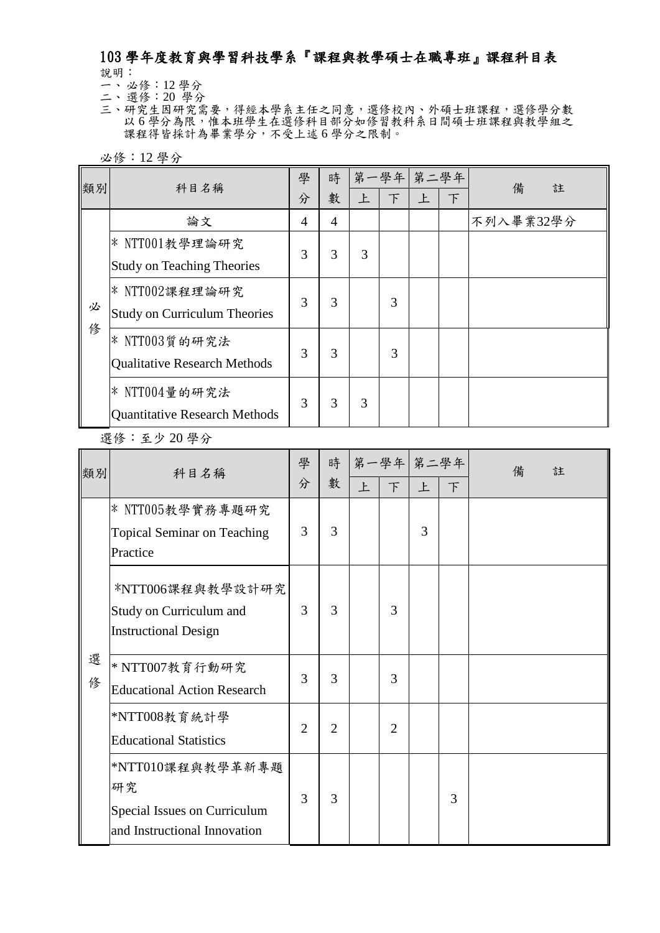## 103 學年度教育與學習科技學系『課程與教學碩士在職專班』課程科目表 說明:

一、 必修:12 學分

- 二、 選修:20 學分
- 三、研究生因研究需要,得經本學系主任之同意,選修校內、外碩士班課程,選修學分數 以6學分為限,惟本班學生在選修科目部分如修習教科系日間碩士班課程與教學組之 課程得皆採計為畢業學分,不受上述 6 學分之限制。

必修:12 學分

| 類別 | 科目名稱                                 | 學 | 時 |   | 第一學年 第二學年 |              |   | 備<br>註    |  |
|----|--------------------------------------|---|---|---|-----------|--------------|---|-----------|--|
|    |                                      | 分 | 數 | 上 | $\top$    | $\mathbf{F}$ | 下 |           |  |
|    | 論文                                   | 4 | 4 |   |           |              |   | 不列入畢業32學分 |  |
|    | $*$ NTT001教學理論研究                     | 3 |   |   |           |              |   |           |  |
|    | <b>Study on Teaching Theories</b>    |   | 3 | 3 |           |              |   |           |  |
|    | $*$ NTT002課程理論研究                     | 3 |   |   |           |              |   |           |  |
| 必  | <b>Study on Curriculum Theories</b>  |   | 3 |   | 3         |              |   |           |  |
| 俢  | $*$ NTT003質的研究法                      | 3 | 3 |   | 3         |              |   |           |  |
|    | <b>Qualitative Research Methods</b>  |   |   |   |           |              |   |           |  |
|    | $*$ NTT004量的研究法                      | 3 | 3 |   |           |              |   |           |  |
|    | <b>Quantitative Research Methods</b> |   |   | 3 |           |              |   |           |  |

選修:至少 20 學分

| 類別     | 科目名稱                                                                                   | 學<br>分         | 時<br>數         | 上 | 第一學年 第二學年<br>F | 上 | 下 | 備<br>註 |
|--------|----------------------------------------------------------------------------------------|----------------|----------------|---|----------------|---|---|--------|
|        | $*$ NTT005教學實務專題研究<br><b>Topical Seminar on Teaching</b><br>Practice                   | 3              | 3              |   |                | 3 |   |        |
|        | *NTT006課程與教學設計研究<br>Study on Curriculum and<br><b>Instructional Design</b>             | 3              | 3              |   | 3              |   |   |        |
| 選<br>俢 | $*$ NTT007教育行動研究<br><b>Educational Action Research</b>                                 | 3              | 3              |   | 3              |   |   |        |
|        | *NTT008教育統計學<br><b>Educational Statistics</b>                                          | $\overline{2}$ | $\overline{2}$ |   | $\overline{2}$ |   |   |        |
|        | *NTT010課程與教學革新專題<br>研究<br>Special Issues on Curriculum<br>and Instructional Innovation | 3              | 3              |   |                |   | 3 |        |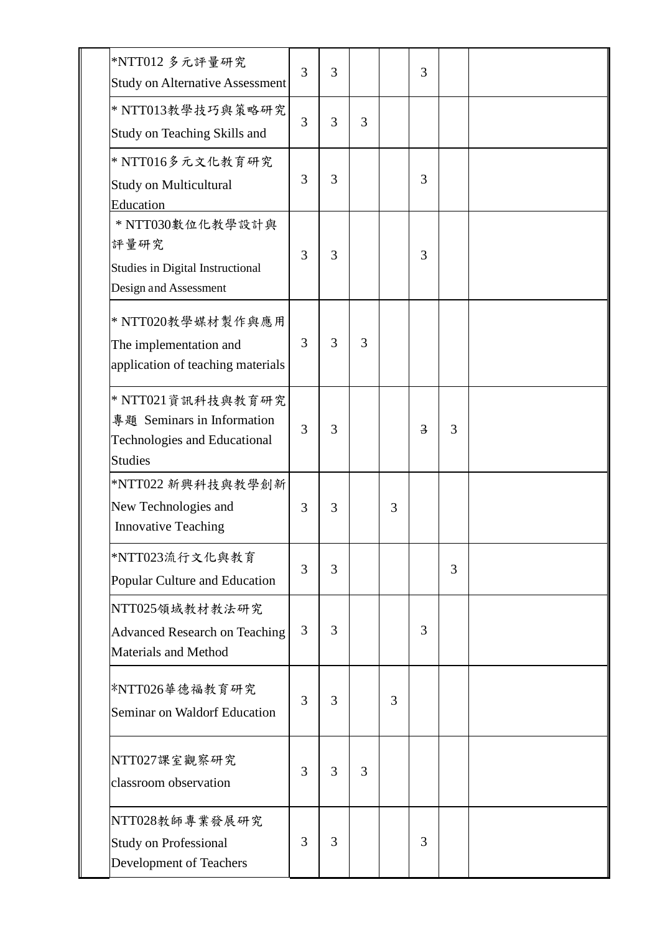| *NTT012 多元評量研究<br><b>Study on Alternative Assessment</b>                                                  | 3 | 3 |   |   | 3              |   |  |
|-----------------------------------------------------------------------------------------------------------|---|---|---|---|----------------|---|--|
| * NTT013教學技巧與策略研究<br>Study on Teaching Skills and                                                         | 3 | 3 | 3 |   |                |   |  |
| * NTT016多元文化教育研究<br><b>Study on Multicultural</b><br>Education                                            | 3 | 3 |   |   | 3              |   |  |
| * NTT030數位化教學設計與<br>評量研究<br>Studies in Digital Instructional<br>Design and Assessment                     | 3 | 3 |   |   | 3              |   |  |
| * NTT020教學媒材製作與應用<br>The implementation and<br>application of teaching materials                          | 3 | 3 | 3 |   |                |   |  |
| * NTT021 資訊科技與教育研究<br>專題 Seminars in Information<br><b>Technologies and Educational</b><br><b>Studies</b> | 3 | 3 |   |   | $\overline{3}$ | 3 |  |
| *NTT022 新興科技與教學創新<br>New Technologies and<br><b>Innovative Teaching</b>                                   | 3 | 3 |   | 3 |                |   |  |
| *NTT023流行文化與教育<br>Popular Culture and Education                                                           | 3 | 3 |   |   |                | 3 |  |
| NTT025領域教材教法研究<br><b>Advanced Research on Teaching</b><br><b>Materials and Method</b>                     | 3 | 3 |   |   | 3              |   |  |
| *NTT026華德福教育研究<br>Seminar on Waldorf Education                                                            | 3 | 3 |   | 3 |                |   |  |
| NTT027課室觀察研究<br>classroom observation                                                                     | 3 | 3 | 3 |   |                |   |  |
| NTT028教師專業發展研究<br><b>Study on Professional</b><br>Development of Teachers                                 | 3 | 3 |   |   | 3              |   |  |